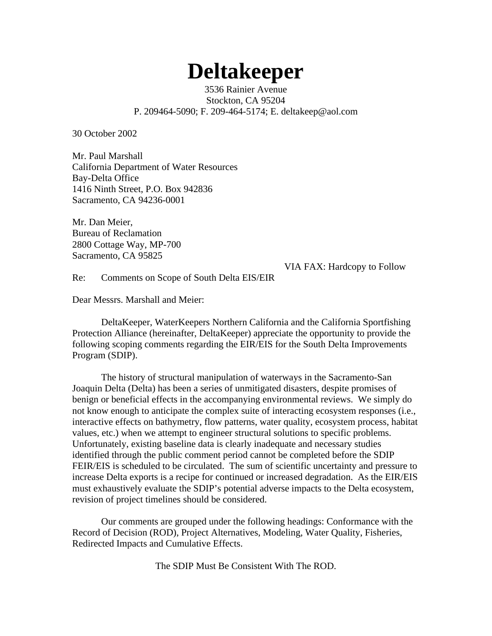# **Deltakeeper**

3536 Rainier Avenue Stockton, CA 95204 P. 209464-5090; F. 209-464-5174; E. deltakeep@aol.com

30 October 2002

Mr. Paul Marshall California Department of Water Resources Bay-Delta Office 1416 Ninth Street, P.O. Box 942836 Sacramento, CA 94236-0001

Mr. Dan Meier, Bureau of Reclamation 2800 Cottage Way, MP-700 Sacramento, CA 95825

VIA FAX: Hardcopy to Follow

Re: Comments on Scope of South Delta EIS/EIR

Dear Messrs. Marshall and Meier:

DeltaKeeper, WaterKeepers Northern California and the California Sportfishing Protection Alliance (hereinafter, DeltaKeeper) appreciate the opportunity to provide the following scoping comments regarding the EIR/EIS for the South Delta Improvements Program (SDIP).

The history of structural manipulation of waterways in the Sacramento-San Joaquin Delta (Delta) has been a series of unmitigated disasters, despite promises of benign or beneficial effects in the accompanying environmental reviews. We simply do not know enough to anticipate the complex suite of interacting ecosystem responses (i.e., interactive effects on bathymetry, flow patterns, water quality, ecosystem process, habitat values, etc.) when we attempt to engineer structural solutions to specific problems. Unfortunately, existing baseline data is clearly inadequate and necessary studies identified through the public comment period cannot be completed before the SDIP FEIR/EIS is scheduled to be circulated. The sum of scientific uncertainty and pressure to increase Delta exports is a recipe for continued or increased degradation. As the EIR/EIS must exhaustively evaluate the SDIP's potential adverse impacts to the Delta ecosystem, revision of project timelines should be considered.

Our comments are grouped under the following headings: Conformance with the Record of Decision (ROD), Project Alternatives, Modeling, Water Quality, Fisheries, Redirected Impacts and Cumulative Effects.

The SDIP Must Be Consistent With The ROD.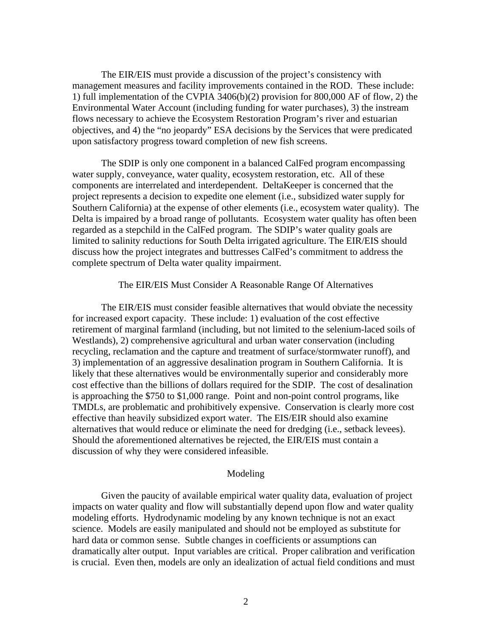The EIR/EIS must provide a discussion of the project's consistency with management measures and facility improvements contained in the ROD. These include: 1) full implementation of the CVPIA 3406(b)(2) provision for 800,000 AF of flow, 2) the Environmental Water Account (including funding for water purchases), 3) the instream flows necessary to achieve the Ecosystem Restoration Program's river and estuarian objectives, and 4) the "no jeopardy" ESA decisions by the Services that were predicated upon satisfactory progress toward completion of new fish screens.

The SDIP is only one component in a balanced CalFed program encompassing water supply, conveyance, water quality, ecosystem restoration, etc. All of these components are interrelated and interdependent. DeltaKeeper is concerned that the project represents a decision to expedite one element (i.e., subsidized water supply for Southern California) at the expense of other elements (i.e., ecosystem water quality). The Delta is impaired by a broad range of pollutants. Ecosystem water quality has often been regarded as a stepchild in the CalFed program. The SDIP's water quality goals are limited to salinity reductions for South Delta irrigated agriculture. The EIR/EIS should discuss how the project integrates and buttresses CalFed's commitment to address the complete spectrum of Delta water quality impairment.

## The EIR/EIS Must Consider A Reasonable Range Of Alternatives

The EIR/EIS must consider feasible alternatives that would obviate the necessity for increased export capacity. These include: 1) evaluation of the cost effective retirement of marginal farmland (including, but not limited to the selenium-laced soils of Westlands), 2) comprehensive agricultural and urban water conservation (including recycling, reclamation and the capture and treatment of surface/stormwater runoff), and 3) implementation of an aggressive desalination program in Southern California. It is likely that these alternatives would be environmentally superior and considerably more cost effective than the billions of dollars required for the SDIP. The cost of desalination is approaching the \$750 to \$1,000 range. Point and non-point control programs, like TMDLs, are problematic and prohibitively expensive. Conservation is clearly more cost effective than heavily subsidized export water. The EIS/EIR should also examine alternatives that would reduce or eliminate the need for dredging (i.e., setback levees). Should the aforementioned alternatives be rejected, the EIR/EIS must contain a discussion of why they were considered infeasible.

### Modeling

Given the paucity of available empirical water quality data, evaluation of project impacts on water quality and flow will substantially depend upon flow and water quality modeling efforts. Hydrodynamic modeling by any known technique is not an exact science. Models are easily manipulated and should not be employed as substitute for hard data or common sense. Subtle changes in coefficients or assumptions can dramatically alter output. Input variables are critical. Proper calibration and verification is crucial. Even then, models are only an idealization of actual field conditions and must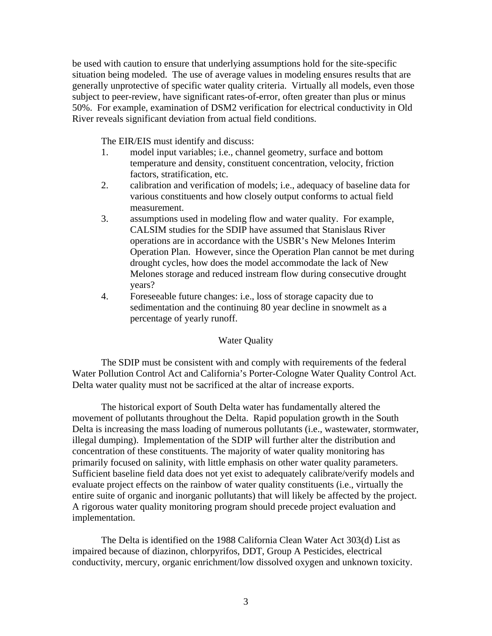be used with caution to ensure that underlying assumptions hold for the site-specific situation being modeled. The use of average values in modeling ensures results that are generally unprotective of specific water quality criteria. Virtually all models, even those subject to peer-review, have significant rates-of-error, often greater than plus or minus 50%. For example, examination of DSM2 verification for electrical conductivity in Old River reveals significant deviation from actual field conditions.

The EIR/EIS must identify and discuss:

- 1. model input variables; i.e., channel geometry, surface and bottom temperature and density, constituent concentration, velocity, friction factors, stratification, etc.
- 2. calibration and verification of models; i.e., adequacy of baseline data for various constituents and how closely output conforms to actual field measurement.
- 3. assumptions used in modeling flow and water quality. For example, CALSIM studies for the SDIP have assumed that Stanislaus River operations are in accordance with the USBR's New Melones Interim Operation Plan. However, since the Operation Plan cannot be met during drought cycles, how does the model accommodate the lack of New Melones storage and reduced instream flow during consecutive drought years?
- 4. Foreseeable future changes: i.e., loss of storage capacity due to sedimentation and the continuing 80 year decline in snowmelt as a percentage of yearly runoff.

# Water Quality

The SDIP must be consistent with and comply with requirements of the federal Water Pollution Control Act and California's Porter-Cologne Water Quality Control Act. Delta water quality must not be sacrificed at the altar of increase exports.

The historical export of South Delta water has fundamentally altered the movement of pollutants throughout the Delta. Rapid population growth in the South Delta is increasing the mass loading of numerous pollutants (i.e., wastewater, stormwater, illegal dumping). Implementation of the SDIP will further alter the distribution and concentration of these constituents. The majority of water quality monitoring has primarily focused on salinity, with little emphasis on other water quality parameters. Sufficient baseline field data does not yet exist to adequately calibrate/verify models and evaluate project effects on the rainbow of water quality constituents (i.e., virtually the entire suite of organic and inorganic pollutants) that will likely be affected by the project. A rigorous water quality monitoring program should precede project evaluation and implementation.

The Delta is identified on the 1988 California Clean Water Act 303(d) List as impaired because of diazinon, chlorpyrifos, DDT, Group A Pesticides, electrical conductivity, mercury, organic enrichment/low dissolved oxygen and unknown toxicity.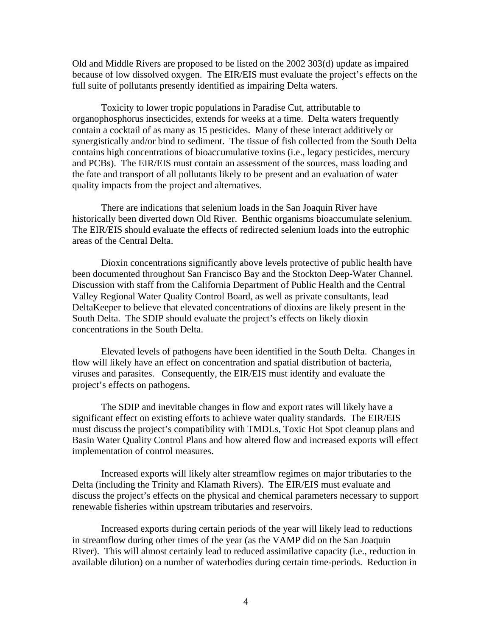Old and Middle Rivers are proposed to be listed on the 2002 303(d) update as impaired because of low dissolved oxygen. The EIR/EIS must evaluate the project's effects on the full suite of pollutants presently identified as impairing Delta waters.

Toxicity to lower tropic populations in Paradise Cut, attributable to organophosphorus insecticides, extends for weeks at a time. Delta waters frequently contain a cocktail of as many as 15 pesticides. Many of these interact additively or synergistically and/or bind to sediment. The tissue of fish collected from the South Delta contains high concentrations of bioaccumulative toxins (i.e., legacy pesticides, mercury and PCBs). The EIR/EIS must contain an assessment of the sources, mass loading and the fate and transport of all pollutants likely to be present and an evaluation of water quality impacts from the project and alternatives.

There are indications that selenium loads in the San Joaquin River have historically been diverted down Old River. Benthic organisms bioaccumulate selenium. The EIR/EIS should evaluate the effects of redirected selenium loads into the eutrophic areas of the Central Delta.

Dioxin concentrations significantly above levels protective of public health have been documented throughout San Francisco Bay and the Stockton Deep-Water Channel. Discussion with staff from the California Department of Public Health and the Central Valley Regional Water Quality Control Board, as well as private consultants, lead DeltaKeeper to believe that elevated concentrations of dioxins are likely present in the South Delta. The SDIP should evaluate the project's effects on likely dioxin concentrations in the South Delta.

Elevated levels of pathogens have been identified in the South Delta. Changes in flow will likely have an effect on concentration and spatial distribution of bacteria, viruses and parasites. Consequently, the EIR/EIS must identify and evaluate the project's effects on pathogens.

The SDIP and inevitable changes in flow and export rates will likely have a significant effect on existing efforts to achieve water quality standards. The EIR/EIS must discuss the project's compatibility with TMDLs, Toxic Hot Spot cleanup plans and Basin Water Quality Control Plans and how altered flow and increased exports will effect implementation of control measures.

Increased exports will likely alter streamflow regimes on major tributaries to the Delta (including the Trinity and Klamath Rivers). The EIR/EIS must evaluate and discuss the project's effects on the physical and chemical parameters necessary to support renewable fisheries within upstream tributaries and reservoirs.

Increased exports during certain periods of the year will likely lead to reductions in streamflow during other times of the year (as the VAMP did on the San Joaquin River). This will almost certainly lead to reduced assimilative capacity (i.e., reduction in available dilution) on a number of waterbodies during certain time-periods. Reduction in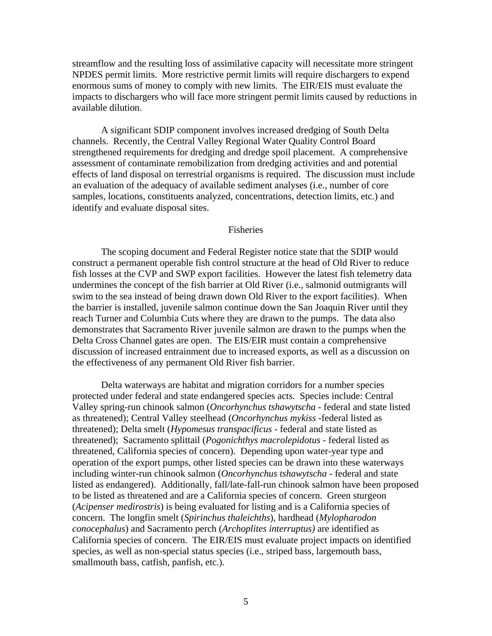streamflow and the resulting loss of assimilative capacity will necessitate more stringent NPDES permit limits. More restrictive permit limits will require dischargers to expend enormous sums of money to comply with new limits. The EIR/EIS must evaluate the impacts to dischargers who will face more stringent permit limits caused by reductions in available dilution.

A significant SDIP component involves increased dredging of South Delta channels. Recently, the Central Valley Regional Water Quality Control Board strengthened requirements for dredging and dredge spoil placement. A comprehensive assessment of contaminate remobilization from dredging activities and and potential effects of land disposal on terrestrial organisms is required. The discussion must include an evaluation of the adequacy of available sediment analyses (i.e., number of core samples, locations, constituents analyzed, concentrations, detection limits, etc.) and identify and evaluate disposal sites.

### Fisheries

The scoping document and Federal Register notice state that the SDIP would construct a permanent operable fish control structure at the head of Old River to reduce fish losses at the CVP and SWP export facilities. However the latest fish telemetry data undermines the concept of the fish barrier at Old River (i.e., salmonid outmigrants will swim to the sea instead of being drawn down Old River to the export facilities). When the barrier is installed, juvenile salmon continue down the San Joaquin River until they reach Turner and Columbia Cuts where they are drawn to the pumps. The data also demonstrates that Sacramento River juvenile salmon are drawn to the pumps when the Delta Cross Channel gates are open. The EIS/EIR must contain a comprehensive discussion of increased entrainment due to increased exports, as well as a discussion on the effectiveness of any permanent Old River fish barrier.

Delta waterways are habitat and migration corridors for a number species protected under federal and state endangered species acts. Species include: Central Valley spring-run chinook salmon (*Oncorhynchus tshawytscha* - federal and state listed as threatened); Central Valley steelhead (*Oncorhynchus mykiss* -federal listed as threatened); Delta smelt (*Hypomesus transpacificus* - federal and state listed as threatened); Sacramento splittail (*Pogonichthys macrolepidotus* - federal listed as threatened, California species of concern). Depending upon water-year type and operation of the export pumps, other listed species can be drawn into these waterways including winter-run chinook salmon (*Oncorhynchus tshawytscha* - federal and state listed as endangered). Additionally, fall/late-fall-run chinook salmon have been proposed to be listed as threatened and are a California species of concern. Green sturgeon (*Acipenser medirostris*) is being evaluated for listing and is a California species of concern. The longfin smelt (*Spirinchus thaleichths*), hardhead (*Mylopharodon conocephalus*) and Sacramento perch (*Archoplites interruptus)* are identified as California species of concern. The EIR/EIS must evaluate project impacts on identified species, as well as non-special status species (i.e., striped bass, largemouth bass, smallmouth bass, catfish, panfish, etc.).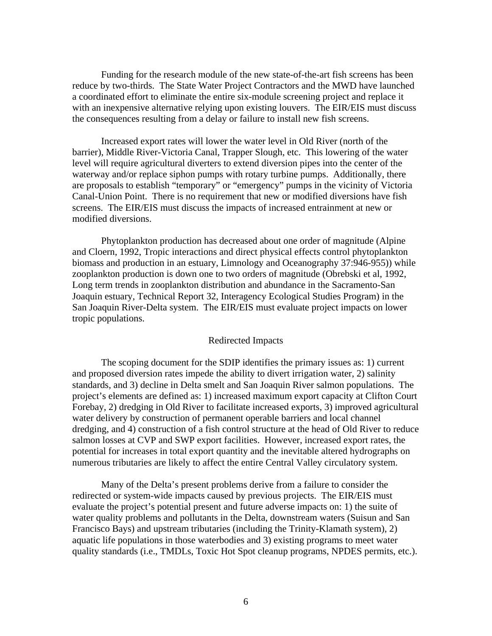Funding for the research module of the new state-of-the-art fish screens has been reduce by two-thirds. The State Water Project Contractors and the MWD have launched a coordinated effort to eliminate the entire six-module screening project and replace it with an inexpensive alternative relying upon existing louvers. The EIR/EIS must discuss the consequences resulting from a delay or failure to install new fish screens.

Increased export rates will lower the water level in Old River (north of the barrier), Middle River-Victoria Canal, Trapper Slough, etc. This lowering of the water level will require agricultural diverters to extend diversion pipes into the center of the waterway and/or replace siphon pumps with rotary turbine pumps. Additionally, there are proposals to establish "temporary" or "emergency" pumps in the vicinity of Victoria Canal-Union Point. There is no requirement that new or modified diversions have fish screens. The EIR/EIS must discuss the impacts of increased entrainment at new or modified diversions.

Phytoplankton production has decreased about one order of magnitude (Alpine and Cloern, 1992, Tropic interactions and direct physical effects control phytoplankton biomass and production in an estuary, Limnology and Oceanography 37:946-955)) while zooplankton production is down one to two orders of magnitude (Obrebski et al, 1992, Long term trends in zooplankton distribution and abundance in the Sacramento-San Joaquin estuary, Technical Report 32, Interagency Ecological Studies Program) in the San Joaquin River-Delta system. The EIR/EIS must evaluate project impacts on lower tropic populations.

## Redirected Impacts

The scoping document for the SDIP identifies the primary issues as: 1) current and proposed diversion rates impede the ability to divert irrigation water, 2) salinity standards, and 3) decline in Delta smelt and San Joaquin River salmon populations. The project's elements are defined as: 1) increased maximum export capacity at Clifton Court Forebay, 2) dredging in Old River to facilitate increased exports, 3) improved agricultural water delivery by construction of permanent operable barriers and local channel dredging, and 4) construction of a fish control structure at the head of Old River to reduce salmon losses at CVP and SWP export facilities. However, increased export rates, the potential for increases in total export quantity and the inevitable altered hydrographs on numerous tributaries are likely to affect the entire Central Valley circulatory system.

Many of the Delta's present problems derive from a failure to consider the redirected or system-wide impacts caused by previous projects. The EIR/EIS must evaluate the project's potential present and future adverse impacts on: 1) the suite of water quality problems and pollutants in the Delta, downstream waters (Suisun and San Francisco Bays) and upstream tributaries (including the Trinity-Klamath system), 2) aquatic life populations in those waterbodies and 3) existing programs to meet water quality standards (i.e., TMDLs, Toxic Hot Spot cleanup programs, NPDES permits, etc.).